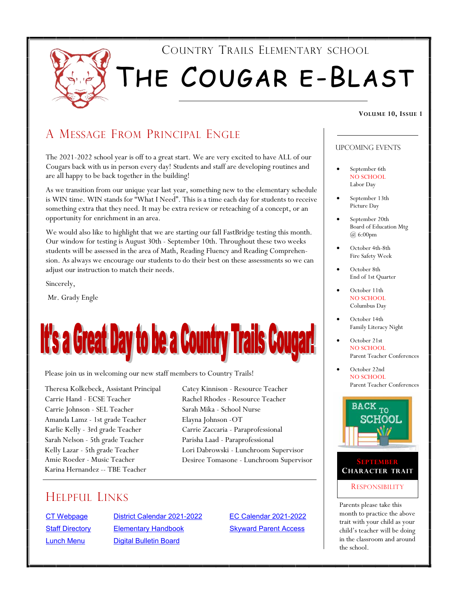

## A MESSAGE FROM PRINCIPAL ENGLE

The 2021-2022 school year is off to a great start. We are very excited to have ALL of our Cougars back with us in person every day! Students and staff are developing routines and are all happy to be back together in the building!

As we transition from our unique year last year, something new to the elementary schedule is WIN time. WIN stands for "What I Need". This is a time each day for students to receive something extra that they need. It may be extra review or reteaching of a concept, or an opportunity for enrichment in an area.

We would also like to highlight that we are starting our fall FastBridge testing this month. Our window for testing is August 30th - September 10th. Throughout these two weeks students will be assessed in the area of Math, Reading Fluency and Reading Comprehension. As always we encourage our students to do their best on these assessments so we can adjust our instruction to match their needs.

Sincerely,

Mr. Grady Engle

# **It's a Great Day to be a Country Trails Cougar!**

Please join us in welcoming our new staff members to Country Trails!

Theresa Kolkebeck, Assistant Principal Carrie Hand - ECSE Teacher Carrie Johnson - SEL Teacher Amanda Lamz - 1st grade Teacher Karlie Kelly - 3rd grade Teacher Sarah Nelson - 5th grade Teacher Kelly Lazar - 5th grade Teacher Amie Roeder - Music Teacher Karina Hernandez -- TBE Teacher

Catey Kinnison - Resource Teacher Rachel Rhodes - Resource Teacher Sarah Mika - School Nurse Elayna Johnson -OT Carrie Zaccaria - Paraprofessional Parisha Laad - Paraprofessional Lori Dabrowski - Lunchroom Supervisor Desiree Tomasone - Lunchroom Supervisor

## HELPFUL LINKS

[CT Webpage](https://ct.central301.net/) [District Calendar 2021-2022](https://central301.net/wp-content/uploads/2021/02/FINAL-2021-2022-Calendar-.pdf) [EC Calendar 2021-2022](https://central301.net/wp-content/uploads/2021/07/EC-Calendar-2021-2022.pdf) [Staff Directory](https://central301.net/staff-directory/) [Elementary Handbook](https://ct.central301.net/elementary-handbook/) [Skyward Parent Access](https://skyward.central301.net/scripts/wsisa.dll/WService=wsEAplus/fwemnu01.w) [Lunch Menu](https://central301.net/food-service/lunch-menus/) [Digital Bulletin Board](https://central301.net/digital-bulletin-board/)

#### Upcoming events

- September 6th NO SCHOOL Labor Day
- September 13th Picture Day
- September 20th Board of Education Mtg @ 6:00pm
- October 4th-8th Fire Safety Week
- October 8th End of 1st Quarter
- October 11th NO SCHOOL Columbus Day
- October 14th Family Literacy Night
- October 21st NO SCHOOL Parent Teacher Conferences
- October 22nd NO SCHOOL Parent Teacher Conferences





Parents please take this month to practice the above trait with your child as your child's teacher will be doing in the classroom and around the school.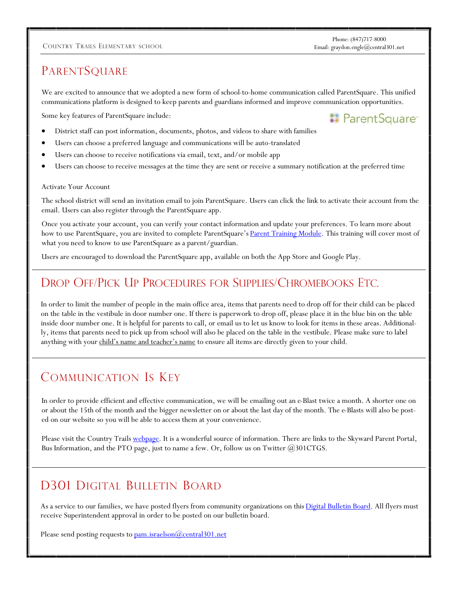#### COUNTRY TRAILS ELEMENTARY SCHOOL Email: graydon.engle@central301.net

**:** ParentSquare<sup>®</sup>

## PARENTSQUARE

We are excited to announce that we adopted a new form of school-to-home communication called ParentSquare. This unified communications platform is designed to keep parents and guardians informed and improve communication opportunities.

Some key features of ParentSquare include:

- District staff can post information, documents, photos, and videos to share with families
- Users can choose a preferred language and communications will be auto-translated
- Users can choose to receive notifications via email, text, and/or mobile app
- Users can choose to receive messages at the time they are sent or receive a summary notification at the preferred time

#### Activate Your Account

The school district will send an invitation email to join ParentSquare. Users can click the link to activate their account from the email. Users can also register through the ParentSquare app.

Once you activate your account, you can verify your contact information and update your preferences. To learn more about how to use ParentSquare, you are invited to complete ParentSquare's [Parent Training Module.](https://parentsquare.talentlms.com/catalog/info/id:132) This training will cover most of what you need to know to use ParentSquare as a parent/guardian.

Users are encouraged to download the ParentSquare app, available on both the App Store and Google Play.

#### DROP OFF/PICK UP PROCEDURES FOR SUPPLIES/CHROMEBOOKS ETC.

In order to limit the number of people in the main office area, items that parents need to drop off for their child can be placed on the table in the vestibule in door number one. If there is paperwork to drop off, please place it in the blue bin on the table inside door number one. It is helpful for parents to call, or email us to let us know to look for items in these areas. Additionally, items that parents need to pick up from school will also be placed on the table in the vestibule. Please make sure to label anything with your child's name and teacher's name to ensure all items are directly given to your child.

## COMMUNICATION IS KEY

In order to provide efficient and effective communication, we will be emailing out an e-Blast twice a month. A shorter one on or about the 15th of the month and the bigger newsletter on or about the last day of the month. The e-Blasts will also be posted on our website so you will be able to access them at your convenience.

Please visit the Country Trails [webpage.](http://ct.central301.net/) It is a wonderful source of information. There are links to the Skyward Parent Portal, Bus Information, and the PTO page, just to name a few. Or, follow us on Twitter @301CTGS.

# D301 DIGITAL BULLETIN BOARD

As a service to our families, we have posted flyers from community organizations on this [Digital Bulletin Board.](https://central301.net/digital-bulletin-board/) All flyers must receive Superintendent approval in order to be posted on our bulletin board.

Please send posting requests to <pam.israelson@central301.net>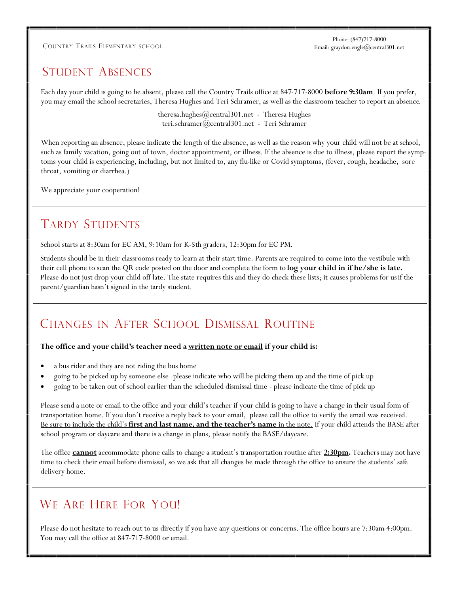#### COUNTRY TRAILS ELEMENTARY SCHOOL Email: graydon.engle@central301.net

Phone: (847)717-8000

#### STUDENT ABSENCES

Each day your child is going to be absent, please call the Country Trails office at 847-717-8000 **before 9:30am**. If you prefer, you may email the school secretaries, Theresa Hughes and Teri Schramer, as well as the classroom teacher to report an absence.

> theresa.hughes@central301.net - Theresa Hughes teri.schramer@central301.net - Teri Schramer

When reporting an absence, please indicate the length of the absence, as well as the reason why your child will not be at school, such as family vacation, going out of town, doctor appointment, or illness. If the absence is due to illness, please report the symptoms your child is experiencing, including, but not limited to, any flu-like or Covid symptoms, (fever, cough, headache, sore throat, vomiting or diarrhea.)

We appreciate your cooperation!

## TARDY STUDENTS

School starts at 8:30am for EC AM, 9:10am for K-5th graders, 12:30pm for EC PM.

Students should be in their classrooms ready to learn at their start time. Parents are required to come into the vestibule with their cell phone to scan the QR code posted on the door and complete the form to **log your child in if he/she is late.** Please do not just drop your child off late. The state requires this and they do check these lists; it causes problems for usif the parent/guardian hasn't signed in the tardy student.

## CHANGES IN AFTER SCHOOL DISMISSAL ROUTINE

#### **The office and your child's teacher need a written note or email if your child is:**

- a bus rider and they are not riding the bus home
- going to be picked up by someone else -please indicate who will be picking them up and the time of pick up
- going to be taken out of school earlier than the scheduled dismissal time please indicate the time of pick up

Please send a note or email to the office and your child's teacher if your child is going to have a change in their usual form of transportation home. If you don't receive a reply back to your email, please call the office to verify the email was received. Be sure to include the child's **first and last name, and the teacher's name** in the note. If your child attends the BASE after school program or daycare and there is a change in plans, please notify the BASE/daycare.

The office **cannot** accommodate phone calls to change a student's transportation routine after **2:30pm.** Teachers may not have time to check their email before dismissal, so we ask that all changes be made through the office to ensure the students' safe delivery home.

# WE ARE HERE FOR YOU!

Please do not hesitate to reach out to us directly if you have any questions or concerns. The office hours are 7:30am-4:00pm. You may call the office at 847-717-8000 or email.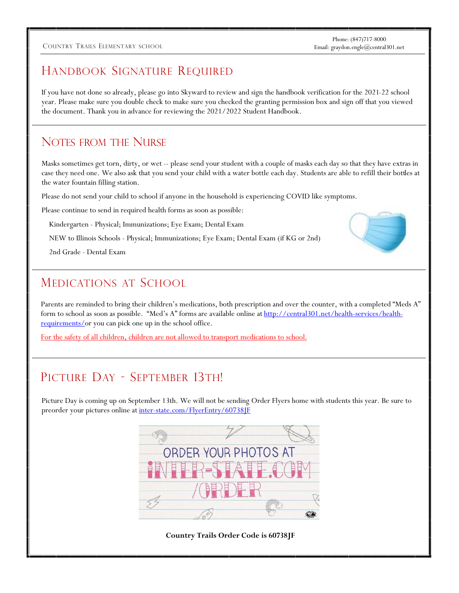#### COUNTRY TRAILS ELEMENTARY SCHOOL Email: graydon.engle@central301.net

Phone: (847)717-8000

# HANDBOOK SIGNATURE REQUIRED

If you have not done so already, please go into Skyward to review and sign the handbook verification for the 2021-22 school year. Please make sure you double check to make sure you checked the granting permission box and sign off that you viewed the document. Thank you in advance for reviewing the 2021/2022 Student Handbook.

#### NOTES FROM THE NURSE

Masks sometimes get torn, dirty, or wet -- please send your student with a couple of masks each day so that they have extras in case they need one. We also ask that you send your child with a water bottle each day. Students are able to refill their bottles at the water fountain filling station.

Please do not send your child to school if anyone in the household is experiencing COVID like symptoms.

Please continue to send in required health forms as soon as possible:

Kindergarten - Physical; Immunizations; Eye Exam; Dental Exam

NEW to Illinois Schools - Physical; Immunizations; Eye Exam; Dental Exam (if KG or 2nd)

2nd Grade - Dental Exam

#### MEDICATIONS AT SCHOOL

Parents are reminded to bring their children's medications, both prescription and over the counter, with a completed "Meds A" form to school as soon as possible. "Med's A" forms are available online at [http://central301.net/health-services/health](http://central301.net/health-services/health-requirements/)[requirements/o](http://central301.net/health-services/health-requirements/)r you can pick one up in the school office.

For the safety of all children, children are not allowed to transport medications to school.

# PICTURE DAY - SEPTEMBER 13TH!

Picture Day is coming up on September 13th. We will not be sending Order Flyers home with students this year. Be sure to preorder your pictures online at inter-state.com/FlyerEntry/60738JF



**Country Trails Order Code is 60738JF**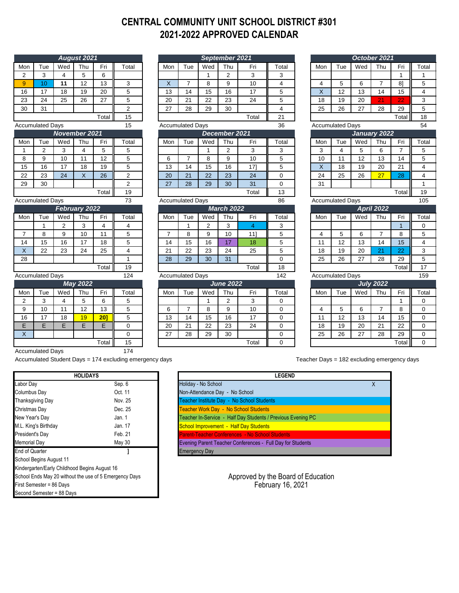#### **CENTRAL COMMUNITY UNIT SCHOOL DISTRICT #301 2021-2022 APPROVED CALENDAR**

|                         |                         |                 | August 2021     |       |                |  |  |  |
|-------------------------|-------------------------|-----------------|-----------------|-------|----------------|--|--|--|
| Mon                     | Tue                     | Wed             | Thu             | Fri   | Total          |  |  |  |
| $\overline{2}$          | 3                       | 4               | 5               | 6     |                |  |  |  |
| 9                       | 10                      | 11              | 12              | 13    | 3              |  |  |  |
| 16                      | 17                      | 18              | 19              | 20    | 5              |  |  |  |
| 23                      | 24                      | 25              | 26              | 27    | 5              |  |  |  |
| 30                      | 31                      |                 |                 |       | $\overline{2}$ |  |  |  |
|                         | 15                      |                 |                 |       |                |  |  |  |
| <b>Accumulated Days</b> |                         | 15              |                 |       |                |  |  |  |
|                         | November 2021           |                 |                 |       |                |  |  |  |
| Mon                     | Tue                     | Wed             | Thu             | Fri   | Total          |  |  |  |
| 1                       | $\overline{2}$          | 3               | 4               | 5     | 5              |  |  |  |
| 8                       | 9                       | 10              | 11              | 12    | 5              |  |  |  |
| 15                      | 16                      | 17              | 18              | 19    | 5              |  |  |  |
| 22                      | 23                      | 24              | X               | 26    | $\overline{2}$ |  |  |  |
| 29                      | 30                      |                 |                 |       | $\overline{2}$ |  |  |  |
|                         |                         |                 |                 | Total | 19             |  |  |  |
| <b>Accumulated Days</b> | 73                      |                 |                 |       |                |  |  |  |
|                         |                         |                 | February 2022   |       |                |  |  |  |
| Mon                     | Tue                     | Wed             | Thu             | Fri   | Total          |  |  |  |
|                         | 1                       | $\overline{2}$  | 3               | 4     | 4              |  |  |  |
| $\overline{7}$          | 8                       | 9               | 10              | 11    | 5              |  |  |  |
| 14                      | 15                      | 16              | 17              | 18    | 5              |  |  |  |
| X                       | 22                      | 23              | 24              | 25    | 4              |  |  |  |
| 28                      |                         |                 |                 |       | $\overline{1}$ |  |  |  |
|                         |                         |                 |                 | Total | 19             |  |  |  |
|                         | <b>Accumulated Days</b> |                 |                 |       | 124            |  |  |  |
|                         |                         |                 | <b>May 2022</b> |       |                |  |  |  |
| Mon                     | Tue                     | Wed             | Thu             | Fri   | Total          |  |  |  |
| $\overline{2}$          | 3                       | 4               | 5               | 6     | 5              |  |  |  |
| 9                       | 10                      | 11              | 12              | 13    | 5              |  |  |  |
| 16                      | 17                      | $\overline{18}$ | 19              | 20]   | 5              |  |  |  |
| E                       | E                       | Ε               | E               | E     | 0              |  |  |  |
| $\overline{\mathsf{x}}$ |                         |                 |                 |       | $\overline{0}$ |  |  |  |
|                         |                         |                 |                 | Total | 15             |  |  |  |

|                |                         |                         | August 2021               |                |                         |                         |                         |              | September 2021 |                |                |                         |     |                         |     | October 2021     |                |                         |
|----------------|-------------------------|-------------------------|---------------------------|----------------|-------------------------|-------------------------|-------------------------|--------------|----------------|----------------|----------------|-------------------------|-----|-------------------------|-----|------------------|----------------|-------------------------|
| Mon            | Tue                     | Wed                     | Thu                       | Fri            | Total                   | Mon                     | Tue                     | Wed          | Thu            | Fri            | Total          |                         | Mon | Tue                     | Wed | Thu              | Fri            | Total                   |
| $\overline{2}$ | 3                       | $\overline{\mathbf{4}}$ | 5                         | 6              |                         |                         |                         | $\mathbf{1}$ | $\overline{2}$ | 3              | 3              |                         |     |                         |     |                  | $\mathbf{1}$   | 1                       |
| 9              | 10                      | 11                      | 12                        | 13             | 3                       | $\overline{\mathsf{X}}$ | $\overline{7}$          | 8            | 9              | 10             | $\overline{4}$ |                         | 4   | 5                       | 6   | $\overline{7}$   | 81             | 5                       |
| 16             | 17                      | 18                      | 19                        | 20             | 5                       | 13                      | 14                      | 15           | 16             | 17             | 5              |                         | X   | 12                      | 13  | 14               | 15             | $\overline{4}$          |
| 23             | 24                      | 25                      | 26                        | 27             | 5                       | 20                      | 21                      | 22           | 23             | 24             | 5              |                         | 18  | 19                      | 20  | 21               | 22             | 3                       |
| 30             | 31                      |                         |                           |                | $\overline{c}$          | 27                      | 28                      | 29           | 30             |                | $\overline{4}$ |                         | 25  | 26                      | 27  | 28               | 29             | 5                       |
|                |                         |                         |                           | Total          | 15                      | Total<br>21             |                         |              |                |                |                |                         |     |                         |     | Total            | 18             |                         |
|                | <b>Accumulated Days</b> |                         |                           |                | 15                      |                         | <b>Accumulated Days</b> |              |                |                | 36             | <b>Accumulated Days</b> |     |                         |     |                  | 54             |                         |
|                |                         | <b>November 2021</b>    |                           |                |                         |                         |                         |              | December 2021  |                |                |                         |     |                         |     | January 2022     |                |                         |
| Mon            | Tue                     | Wed                     | Thu                       | Fri            | Total                   | Mon                     | Tue                     | Wed          | Thu            | Fri            | Total          |                         | Mon | Tue                     | Wed | Thu              | Fri            | Total                   |
| $\mathbf{1}$   | $\overline{2}$          | 3                       | $\overline{4}$            | 5              | 5                       |                         |                         | $\mathbf{1}$ | $\overline{2}$ | 3              | 3              |                         | 3   | $\overline{4}$          | 5   | 6                | $\overline{7}$ | 5                       |
| 8              | 9                       | 10                      | 11                        | 12             | 5                       | 6                       | $\overline{7}$          | 8            | 9              | 10             | 5              |                         | 10  | 11                      | 12  | 13               | 14             | 5                       |
| 15             | 16                      | 17                      | 18                        | 19             | 5                       | 13                      | 14                      | 15           | 16             | 171            | 5              |                         | X   | 18                      | 19  | 20               | 21             | $\overline{4}$          |
| 22             | 23                      | 24                      | $\boldsymbol{\mathsf{X}}$ | 26             | $\overline{2}$          | 20                      | 21                      | 22           | 23             | 24             | $\mathbf 0$    |                         | 24  | 25                      | 26  | 27               | 28             | 4                       |
| 29             | 30                      |                         |                           |                | $\overline{c}$          | 27                      | 28                      | 29           | 30             | 31             | $\mathbf 0$    |                         | 31  |                         |     |                  |                | $\mathbf{1}$            |
|                |                         |                         |                           | Total          | 19                      |                         |                         |              |                | Total          | 13             |                         |     |                         |     |                  | Total          | 19                      |
|                | <b>Accumulated Days</b> |                         |                           |                | 73                      |                         | <b>Accumulated Days</b> |              |                |                | 86             |                         |     | <b>Accumulated Days</b> |     |                  |                | 105                     |
|                |                         |                         | February 2022             |                |                         | <b>March 2022</b>       |                         |              |                |                |                | <b>April 2022</b>       |     |                         |     |                  |                |                         |
| Mon            | Tue                     | Wed                     | Thu                       | Fri            | Total                   | Mon                     | Tue                     | Wed          | Thu            | Fri            | Total          |                         | Mon | Tue                     | Wed | Thu              | Fri            | Total                   |
|                | 1                       | $\overline{2}$          | 3                         | $\overline{4}$ | 4                       |                         | $\mathbf{1}$            | 2            | 3              | $\overline{4}$ | 3              |                         |     |                         |     |                  | $\overline{1}$ | $\mathbf 0$             |
| $\overline{7}$ | 8                       | 9                       | 10                        | 11             | 5                       | $\overline{7}$          | 8                       | 9            | 10             | 11]            | 5              |                         | 4   | 5                       | 6   | $\overline{7}$   | 8              | 5                       |
| 14             | 15                      | 16                      | 17                        | 18             | 5                       | 14                      | 15                      | 16           | 17             | 18             | 5              |                         | 11  | 12                      | 13  | 14               | 15             | $\overline{\mathbf{4}}$ |
| X              | 22                      | 23                      | 24                        | 25             | $\overline{\mathbf{4}}$ | 21                      | 22                      | 23           | 24             | 25             | 5              |                         | 18  | 19                      | 20  | 21               | 22             | 3                       |
| 28             |                         |                         |                           |                | $\mathbf{1}$            | 28                      | 29                      | 30           | 31             |                | $\Omega$       |                         | 25  | 26                      | 27  | 28               | 29             | 5                       |
|                |                         |                         |                           | Total          | 19                      |                         |                         |              |                | Total          | 18             |                         |     |                         |     |                  | Total          | 17                      |
|                | <b>Accumulated Days</b> |                         |                           |                | 124                     |                         | <b>Accumulated Days</b> |              |                |                | 142            |                         |     | <b>Accumulated Days</b> |     |                  |                | 159                     |
|                |                         |                         | <b>May 2022</b>           |                |                         | <b>June 2022</b>        |                         |              |                |                |                |                         |     |                         |     | <b>July 2022</b> |                |                         |
| Mon            | Tue                     | Wed                     | Thu                       | Fri            | Total                   | Mon                     | Tue                     | Wed          | Thu            | Fri            | Total          |                         | Mon | Tue                     | Wed | Thu              | Fri            | Total                   |
| $\overline{2}$ | 3                       | 4                       | 5                         | 6              | 5                       |                         |                         | $\mathbf{1}$ | $\overline{2}$ | 3              | 0              |                         |     |                         |     |                  | $\mathbf{1}$   | $\mathbf 0$             |
| 9              | 10                      | 11                      | 12                        | 13             | 5                       | 6                       | $\overline{7}$          | 8            | 9              | 10             | $\mathbf 0$    |                         | 4   | 5                       | 6   | $\overline{7}$   | 8              | 0                       |
| 16             | 17                      | 18                      | 19                        | $20$ ]         | 5                       | 13                      | 14                      | 15           | 16             | 17             | $\mathbf 0$    |                         | 11  | 12                      | 13  | 14               | 15             | $\mathbf 0$             |
| E              | E.                      | E                       | E                         | E              | $\mathbf 0$             | 20                      | 21                      | 22           | 23             | 24             | $\mathbf 0$    |                         | 18  | 19                      | 20  | 21               | 22             | 0                       |
| X              |                         |                         |                           |                | 0                       | 27                      | 28                      | 29           | 30             |                | $\mathbf 0$    |                         | 25  | 26                      | 27  | 28               | 29             | $\mathbf 0$             |
|                |                         |                         |                           | Total          | 15                      |                         |                         |              |                | Total          | $\Omega$       |                         |     |                         |     |                  | Total          | $\Omega$                |

|                         |                         |     | October 2021     |                |       |  |  |  |  |
|-------------------------|-------------------------|-----|------------------|----------------|-------|--|--|--|--|
| Mon                     | Tue                     | Wed | Thu              | Fri            | Total |  |  |  |  |
|                         |                         |     |                  | 1              | 1     |  |  |  |  |
| 4                       | 5                       | 6   | $\overline{7}$   | 81             | 5     |  |  |  |  |
| $\overline{\mathsf{x}}$ | 12                      | 13  | 14               | 15             | 4     |  |  |  |  |
| 18                      | 19                      | 20  | 21               | 22             | 3     |  |  |  |  |
| 25                      | 26                      | 27  | 28               | 29             | 5     |  |  |  |  |
|                         | Total                   | 18  |                  |                |       |  |  |  |  |
| <b>Accumulated Days</b> |                         | 54  |                  |                |       |  |  |  |  |
| January 2022            |                         |     |                  |                |       |  |  |  |  |
| Mon                     | Tue                     | Wed | Thu              | Fri            | Total |  |  |  |  |
| 3                       | 4                       | 5   | 6                | $\overline{7}$ | 5     |  |  |  |  |
| 10                      | 11                      | 12  | 13               | 14             | 5     |  |  |  |  |
| X                       | 18                      | 19  | 20               | 21             | 4     |  |  |  |  |
| 24                      | 25                      | 26  | 27               | 28             | 4     |  |  |  |  |
| 31                      |                         |     |                  |                | 1     |  |  |  |  |
|                         |                         |     |                  | Total          | 19    |  |  |  |  |
| <b>Accumulated Days</b> | 105                     |     |                  |                |       |  |  |  |  |
|                         | <b>April 2022</b>       |     |                  |                |       |  |  |  |  |
|                         |                         |     |                  |                |       |  |  |  |  |
| Mon                     | Tue                     | Wed | Thu              | Fri            | Total |  |  |  |  |
|                         |                         |     |                  | 1              | 0     |  |  |  |  |
| $\overline{\mathbf{4}}$ | 5                       | 6   | $\overline{7}$   | 8              | 5     |  |  |  |  |
| 11                      | 12                      | 13  | 14               | 15             | 4     |  |  |  |  |
| 18                      | 19                      | 20  | 21               | 22             | 3     |  |  |  |  |
| 25                      | 26                      | 27  | 28               | 29             | 5     |  |  |  |  |
|                         |                         |     |                  | Total          | 17    |  |  |  |  |
|                         | <b>Accumulated Days</b> |     |                  |                | 159   |  |  |  |  |
|                         |                         |     | <b>July 2022</b> |                |       |  |  |  |  |
| Mon                     | Tue                     | Wed | Thu              | Fri            | Total |  |  |  |  |
|                         |                         |     |                  | 1              | 0     |  |  |  |  |
| $\overline{\mathbf{4}}$ | 5                       | 6   | 7                | 8              | 0     |  |  |  |  |
| 11                      | 12                      | 13  | 14               | 15             | 0     |  |  |  |  |
| 18                      | 19                      | 20  | 21               | 22             | 0     |  |  |  |  |
| 25                      | 26                      | 27  | 28               | 29             | 0     |  |  |  |  |

Accumulated Days 174

Accumulated Student Days = 174 excluding emergency days Teacher Days = 182 excluding emergency days

| <b>HOLIDAYS</b>                                        |  |  |  |  |  |  |
|--------------------------------------------------------|--|--|--|--|--|--|
| Sep. 6                                                 |  |  |  |  |  |  |
| Oct. 11                                                |  |  |  |  |  |  |
| Nov. 25                                                |  |  |  |  |  |  |
| Dec. 25                                                |  |  |  |  |  |  |
| Jan. 1                                                 |  |  |  |  |  |  |
| Jan. 17                                                |  |  |  |  |  |  |
| Feb. 21                                                |  |  |  |  |  |  |
| May 30                                                 |  |  |  |  |  |  |
|                                                        |  |  |  |  |  |  |
| School Begins August 11                                |  |  |  |  |  |  |
| Kindergarten/Early Childhood Begins August 16          |  |  |  |  |  |  |
| School Ends May 20 without the use of 5 Emergency Days |  |  |  |  |  |  |
|                                                        |  |  |  |  |  |  |
|                                                        |  |  |  |  |  |  |
|                                                        |  |  |  |  |  |  |

X School Improvement - Half Day Students arent-Teacher Conferences - No School Student Evening Parent Teacher Conferences - Full Day for Students **Emergency Day** Teacher In-Service - Half Day Students / Previous Evening PC Teacher Institute Day - No School Students **Eacher Work Day - No School Students** Non-Attendance Day - No School **HOLIDAYS LEGEND** Holiday - No School

> Approved by the Board of Education February 16, 2021